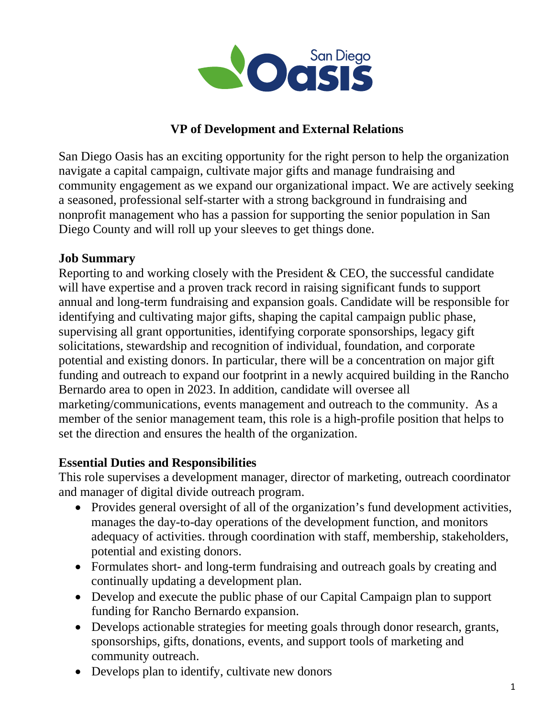

### **VP of Development and External Relations**

San Diego Oasis has an exciting opportunity for the right person to help the organization navigate a capital campaign, cultivate major gifts and manage fundraising and community engagement as we expand our organizational impact. We are actively seeking a seasoned, professional self-starter with a strong background in fundraising and nonprofit management who has a passion for supporting the senior population in San Diego County and will roll up your sleeves to get things done.

#### **Job Summary**

Reporting to and working closely with the President & CEO, the successful candidate will have expertise and a proven track record in raising significant funds to support annual and long-term fundraising and expansion goals. Candidate will be responsible for identifying and cultivating major gifts, shaping the capital campaign public phase, supervising all grant opportunities, identifying corporate sponsorships, legacy gift solicitations, stewardship and recognition of individual, foundation, and corporate potential and existing donors. In particular, there will be a concentration on major gift funding and outreach to expand our footprint in a newly acquired building in the Rancho Bernardo area to open in 2023. In addition, candidate will oversee all marketing/communications, events management and outreach to the community. As a member of the senior management team, this role is a high-profile position that helps to set the direction and ensures the health of the organization.

### **Essential Duties and Responsibilities**

This role supervises a development manager, director of marketing, outreach coordinator and manager of digital divide outreach program.

- Provides general oversight of all of the organization's fund development activities, manages the day-to-day operations of the development function, and monitors adequacy of activities. through coordination with staff, membership, stakeholders, potential and existing donors.
- Formulates short- and long-term fundraising and outreach goals by creating and continually updating a development plan.
- Develop and execute the public phase of our Capital Campaign plan to support funding for Rancho Bernardo expansion.
- Develops actionable strategies for meeting goals through donor research, grants, sponsorships, gifts, donations, events, and support tools of marketing and community outreach.
- Develops plan to identify, cultivate new donors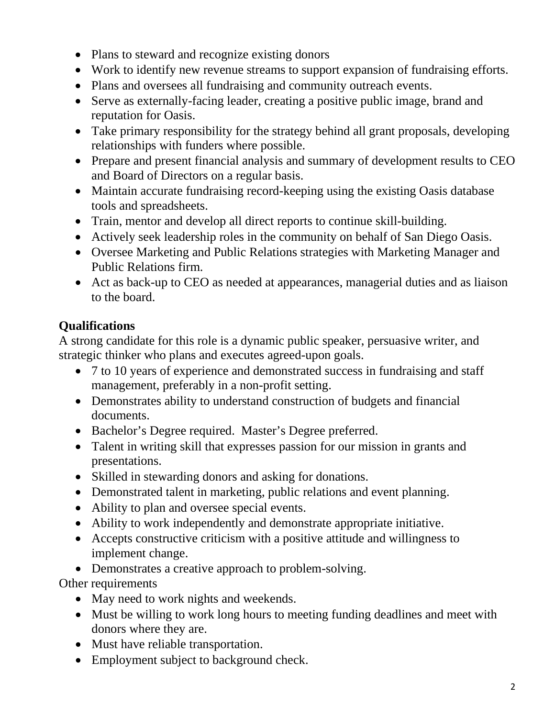- Plans to steward and recognize existing donors
- Work to identify new revenue streams to support expansion of fundraising efforts.
- Plans and oversees all fundraising and community outreach events.
- Serve as externally-facing leader, creating a positive public image, brand and reputation for Oasis.
- Take primary responsibility for the strategy behind all grant proposals, developing relationships with funders where possible.
- Prepare and present financial analysis and summary of development results to CEO and Board of Directors on a regular basis.
- Maintain accurate fundraising record-keeping using the existing Oasis database tools and spreadsheets.
- Train, mentor and develop all direct reports to continue skill-building.
- Actively seek leadership roles in the community on behalf of San Diego Oasis.
- Oversee Marketing and Public Relations strategies with Marketing Manager and Public Relations firm.
- Act as back-up to CEO as needed at appearances, managerial duties and as liaison to the board.

# **Qualifications**

A strong candidate for this role is a dynamic public speaker, persuasive writer, and strategic thinker who plans and executes agreed-upon goals.

- 7 to 10 years of experience and demonstrated success in fundraising and staff management, preferably in a non-profit setting.
- Demonstrates ability to understand construction of budgets and financial documents.
- Bachelor's Degree required. Master's Degree preferred.
- Talent in writing skill that expresses passion for our mission in grants and presentations.
- Skilled in stewarding donors and asking for donations.
- Demonstrated talent in marketing, public relations and event planning.
- Ability to plan and oversee special events.
- Ability to work independently and demonstrate appropriate initiative.
- Accepts constructive criticism with a positive attitude and willingness to implement change.
- Demonstrates a creative approach to problem-solving.

Other requirements

- May need to work nights and weekends.
- Must be willing to work long hours to meeting funding deadlines and meet with donors where they are.
- Must have reliable transportation.
- Employment subject to background check.